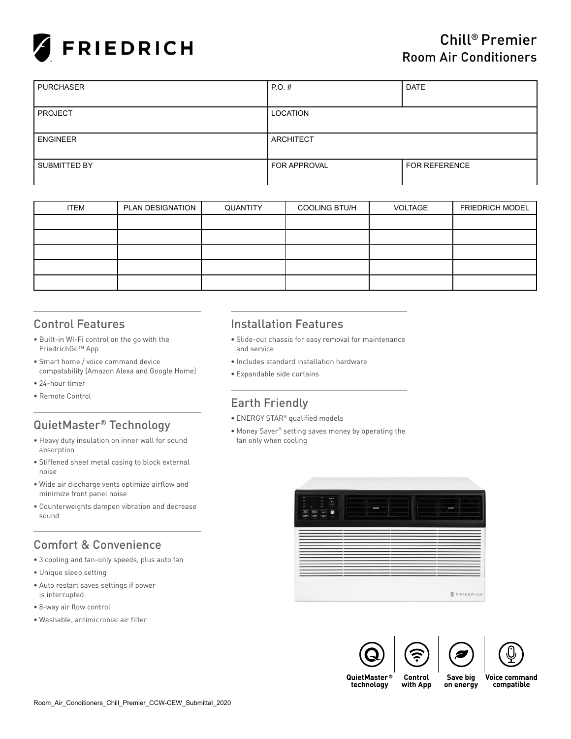

| <b>PURCHASER</b> | $PO.$ #             | <b>DATE</b>          |
|------------------|---------------------|----------------------|
|                  |                     |                      |
| <b>PROJECT</b>   | LOCATION            |                      |
|                  |                     |                      |
| I ENGINEER       | ARCHITECT           |                      |
|                  |                     |                      |
| SUBMITTED BY     | <b>FOR APPROVAL</b> | <b>FOR REFERENCE</b> |
|                  |                     |                      |

| <b>ITEM</b> | PLAN DESIGNATION | QUANTITY | <b>COOLING BTU/H</b> | VOLTAGE | <b>FRIEDRICH MODEL</b> |
|-------------|------------------|----------|----------------------|---------|------------------------|
|             |                  |          |                      |         |                        |
|             |                  |          |                      |         |                        |
|             |                  |          |                      |         |                        |
|             |                  |          |                      |         |                        |
|             |                  |          |                      |         |                        |

## Control Features

- Built-in Wi-Fi control on the go with the FriedrichGo™ App
- Smart home / voice command device compatability (Amazon Alexa and Google Home)
- 24-hour timer
- Remote Control

# QuietMaster® Technology

- Heavy duty insulation on inner wall for sound absorption
- Stiffened sheet metal casing to block external noise
- Wide air discharge vents optimize airflow and minimize front panel noise
- Counterweights dampen vibration and decrease sound

# Comfort & Convenience

- 3 cooling and fan-only speeds, plus auto fan
- Unique sleep setting
- Auto restart saves settings if power is interrupted
- 8-way air flow control
- Washable, antimicrobial air filter

#### Installation Features

- Slide-out chassis for easy removal for maintenance and service
- Includes standard installation hardware
- Expandable side curtains

### Earth Friendly

- ENERGY STAR® qualified models
- Money Saver® setting saves money by operating the fan only when cooling







QuietMaster® technology

Save big with App on energy **Voice command** compatible